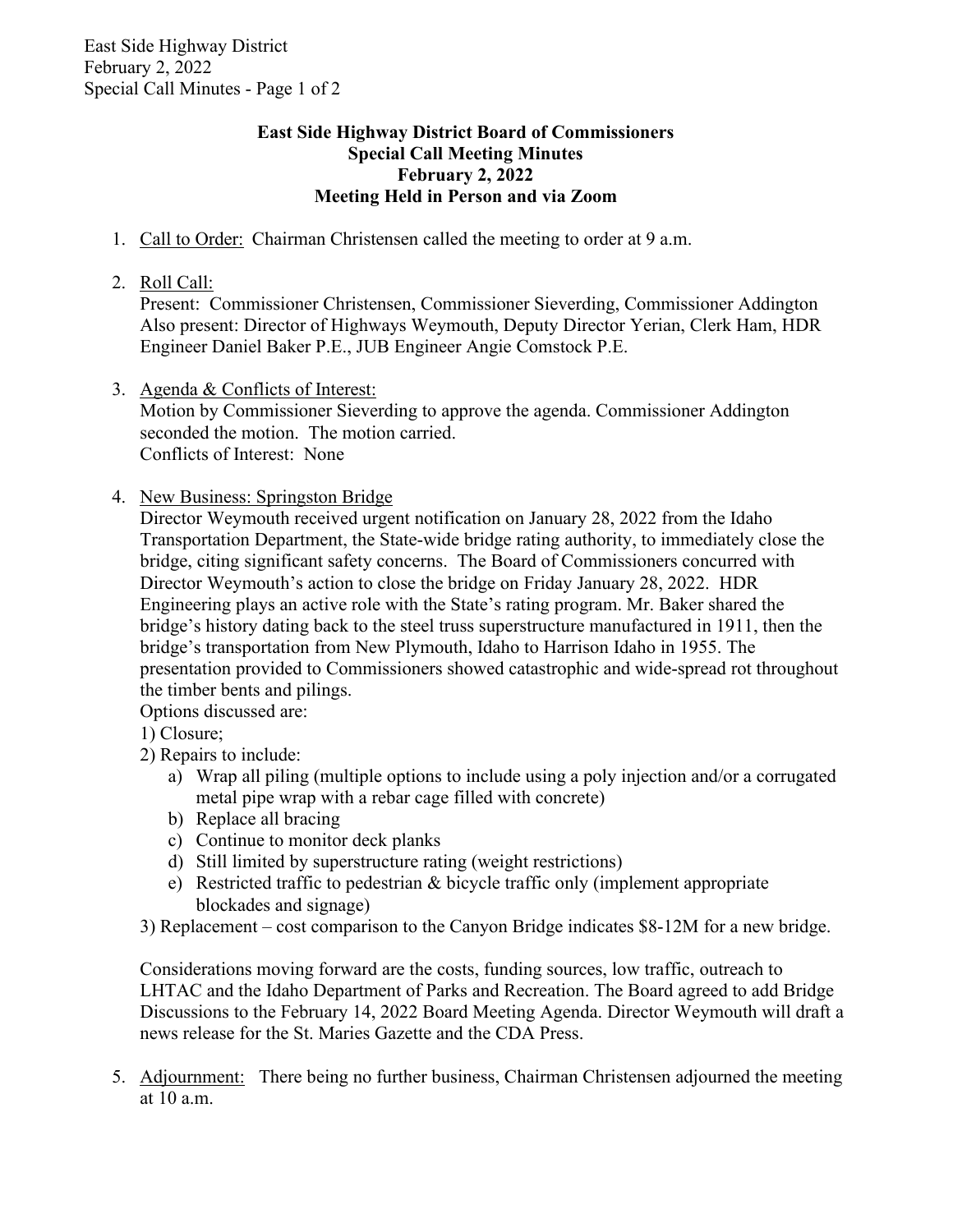## **East Side Highway District Board of Commissioners Special Call Meeting Minutes February 2, 2022 Meeting Held in Person and via Zoom**

- 1. Call to Order: Chairman Christensen called the meeting to order at 9 a.m.
- 2. Roll Call:

Present: Commissioner Christensen, Commissioner Sieverding, Commissioner Addington Also present: Director of Highways Weymouth, Deputy Director Yerian, Clerk Ham, HDR Engineer Daniel Baker P.E., JUB Engineer Angie Comstock P.E.

3. Agenda & Conflicts of Interest:

Motion by Commissioner Sieverding to approve the agenda. Commissioner Addington seconded the motion. The motion carried. Conflicts of Interest: None

4. New Business: Springston Bridge

Director Weymouth received urgent notification on January 28, 2022 from the Idaho Transportation Department, the State-wide bridge rating authority, to immediately close the bridge, citing significant safety concerns. The Board of Commissioners concurred with Director Weymouth's action to close the bridge on Friday January 28, 2022. HDR Engineering plays an active role with the State's rating program. Mr. Baker shared the bridge's history dating back to the steel truss superstructure manufactured in 1911, then the bridge's transportation from New Plymouth, Idaho to Harrison Idaho in 1955. The presentation provided to Commissioners showed catastrophic and wide-spread rot throughout the timber bents and pilings.

Options discussed are:

- 1) Closure;
- 2) Repairs to include:
	- a) Wrap all piling (multiple options to include using a poly injection and/or a corrugated metal pipe wrap with a rebar cage filled with concrete)
	- b) Replace all bracing
	- c) Continue to monitor deck planks
	- d) Still limited by superstructure rating (weight restrictions)
	- e) Restricted traffic to pedestrian & bicycle traffic only (implement appropriate blockades and signage)
- 3) Replacement cost comparison to the Canyon Bridge indicates \$8-12M for a new bridge.

Considerations moving forward are the costs, funding sources, low traffic, outreach to LHTAC and the Idaho Department of Parks and Recreation. The Board agreed to add Bridge Discussions to the February 14, 2022 Board Meeting Agenda. Director Weymouth will draft a news release for the St. Maries Gazette and the CDA Press.

5. Adjournment: There being no further business, Chairman Christensen adjourned the meeting at 10 a.m.